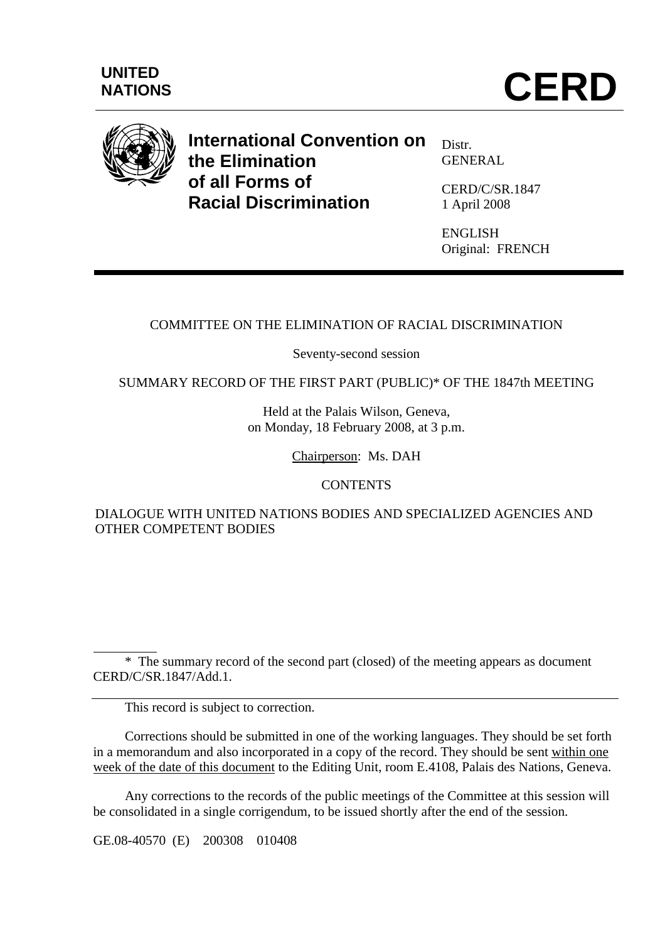

**International Convention on the Elimination of all Forms of Racial Discrimination** 

Distr. GENERAL

CERD/C/SR.1847 1 April 2008

ENGLISH Original: FRENCH

# COMMITTEE ON THE ELIMINATION OF RACIAL DISCRIMINATION

Seventy-second session

SUMMARY RECORD OF THE FIRST PART (PUBLIC)\* OF THE 1847th MEETING

Held at the Palais Wilson, Geneva, on Monday, 18 February 2008, at 3 p.m.

Chairperson: Ms. DAH

## **CONTENTS**

DIALOGUE WITH UNITED NATIONS BODIES AND SPECIALIZED AGENCIES AND OTHER COMPETENT BODIES

 $\overline{a}$  \* The summary record of the second part (closed) of the meeting appears as document CERD/C/SR.1847/Add.1.

This record is subject to correction.

 Corrections should be submitted in one of the working languages. They should be set forth in a memorandum and also incorporated in a copy of the record. They should be sent within one week of the date of this document to the Editing Unit, room E.4108, Palais des Nations, Geneva.

 Any corrections to the records of the public meetings of the Committee at this session will be consolidated in a single corrigendum, to be issued shortly after the end of the session.

GE.08-40570 (E) 200308 010408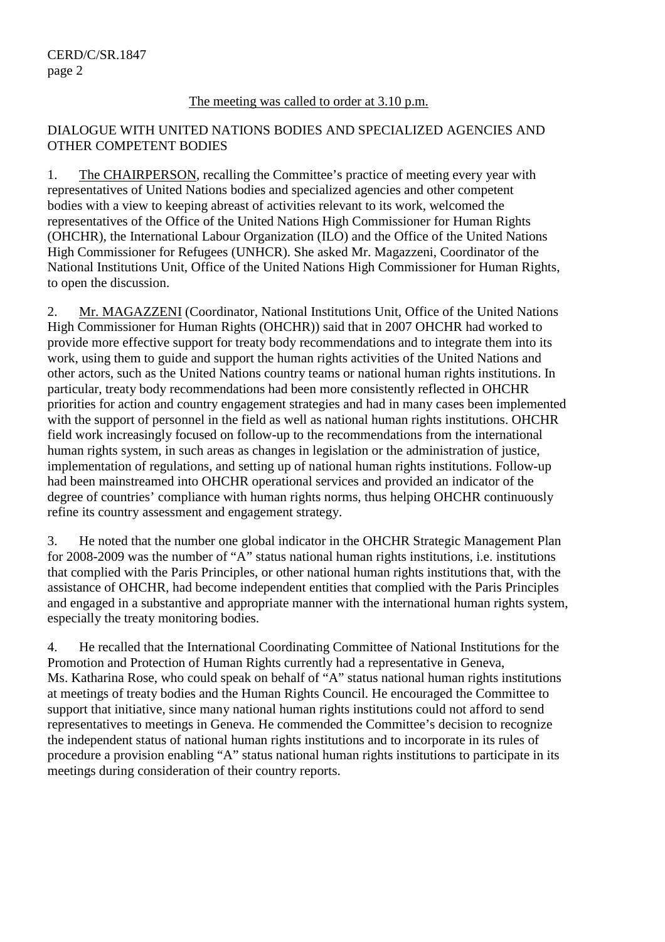#### The meeting was called to order at 3.10 p.m.

### DIALOGUE WITH UNITED NATIONS BODIES AND SPECIALIZED AGENCIES AND OTHER COMPETENT BODIES

1. The CHAIRPERSON, recalling the Committee's practice of meeting every year with representatives of United Nations bodies and specialized agencies and other competent bodies with a view to keeping abreast of activities relevant to its work, welcomed the representatives of the Office of the United Nations High Commissioner for Human Rights (OHCHR), the International Labour Organization (ILO) and the Office of the United Nations High Commissioner for Refugees (UNHCR). She asked Mr. Magazzeni, Coordinator of the National Institutions Unit, Office of the United Nations High Commissioner for Human Rights, to open the discussion.

2. Mr. MAGAZZENI (Coordinator, National Institutions Unit, Office of the United Nations High Commissioner for Human Rights (OHCHR)) said that in 2007 OHCHR had worked to provide more effective support for treaty body recommendations and to integrate them into its work, using them to guide and support the human rights activities of the United Nations and other actors, such as the United Nations country teams or national human rights institutions. In particular, treaty body recommendations had been more consistently reflected in OHCHR priorities for action and country engagement strategies and had in many cases been implemented with the support of personnel in the field as well as national human rights institutions. OHCHR field work increasingly focused on follow-up to the recommendations from the international human rights system, in such areas as changes in legislation or the administration of justice, implementation of regulations, and setting up of national human rights institutions. Follow-up had been mainstreamed into OHCHR operational services and provided an indicator of the degree of countries' compliance with human rights norms, thus helping OHCHR continuously refine its country assessment and engagement strategy.

3. He noted that the number one global indicator in the OHCHR Strategic Management Plan for 2008-2009 was the number of "A" status national human rights institutions, i.e. institutions that complied with the Paris Principles, or other national human rights institutions that, with the assistance of OHCHR, had become independent entities that complied with the Paris Principles and engaged in a substantive and appropriate manner with the international human rights system, especially the treaty monitoring bodies.

4. He recalled that the International Coordinating Committee of National Institutions for the Promotion and Protection of Human Rights currently had a representative in Geneva, Ms. Katharina Rose, who could speak on behalf of "A" status national human rights institutions at meetings of treaty bodies and the Human Rights Council. He encouraged the Committee to support that initiative, since many national human rights institutions could not afford to send representatives to meetings in Geneva. He commended the Committee's decision to recognize the independent status of national human rights institutions and to incorporate in its rules of procedure a provision enabling "A" status national human rights institutions to participate in its meetings during consideration of their country reports.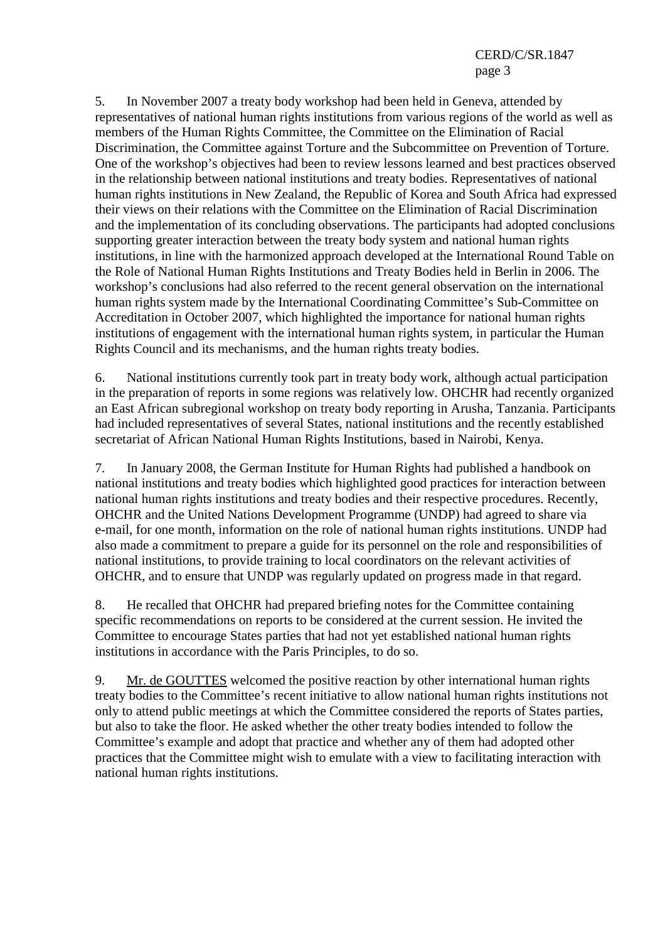#### CERD/C/SR.1847 page 3

5. In November 2007 a treaty body workshop had been held in Geneva, attended by representatives of national human rights institutions from various regions of the world as well as members of the Human Rights Committee, the Committee on the Elimination of Racial Discrimination, the Committee against Torture and the Subcommittee on Prevention of Torture. One of the workshop's objectives had been to review lessons learned and best practices observed in the relationship between national institutions and treaty bodies. Representatives of national human rights institutions in New Zealand, the Republic of Korea and South Africa had expressed their views on their relations with the Committee on the Elimination of Racial Discrimination and the implementation of its concluding observations. The participants had adopted conclusions supporting greater interaction between the treaty body system and national human rights institutions, in line with the harmonized approach developed at the International Round Table on the Role of National Human Rights Institutions and Treaty Bodies held in Berlin in 2006. The workshop's conclusions had also referred to the recent general observation on the international human rights system made by the International Coordinating Committee's Sub-Committee on Accreditation in October 2007, which highlighted the importance for national human rights institutions of engagement with the international human rights system, in particular the Human Rights Council and its mechanisms, and the human rights treaty bodies.

6. National institutions currently took part in treaty body work, although actual participation in the preparation of reports in some regions was relatively low. OHCHR had recently organized an East African subregional workshop on treaty body reporting in Arusha, Tanzania. Participants had included representatives of several States, national institutions and the recently established secretariat of African National Human Rights Institutions, based in Nairobi, Kenya.

7. In January 2008, the German Institute for Human Rights had published a handbook on national institutions and treaty bodies which highlighted good practices for interaction between national human rights institutions and treaty bodies and their respective procedures. Recently, OHCHR and the United Nations Development Programme (UNDP) had agreed to share via e-mail, for one month, information on the role of national human rights institutions. UNDP had also made a commitment to prepare a guide for its personnel on the role and responsibilities of national institutions, to provide training to local coordinators on the relevant activities of OHCHR, and to ensure that UNDP was regularly updated on progress made in that regard.

8. He recalled that OHCHR had prepared briefing notes for the Committee containing specific recommendations on reports to be considered at the current session. He invited the Committee to encourage States parties that had not yet established national human rights institutions in accordance with the Paris Principles, to do so.

9. Mr. de GOUTTES welcomed the positive reaction by other international human rights treaty bodies to the Committee's recent initiative to allow national human rights institutions not only to attend public meetings at which the Committee considered the reports of States parties, but also to take the floor. He asked whether the other treaty bodies intended to follow the Committee's example and adopt that practice and whether any of them had adopted other practices that the Committee might wish to emulate with a view to facilitating interaction with national human rights institutions.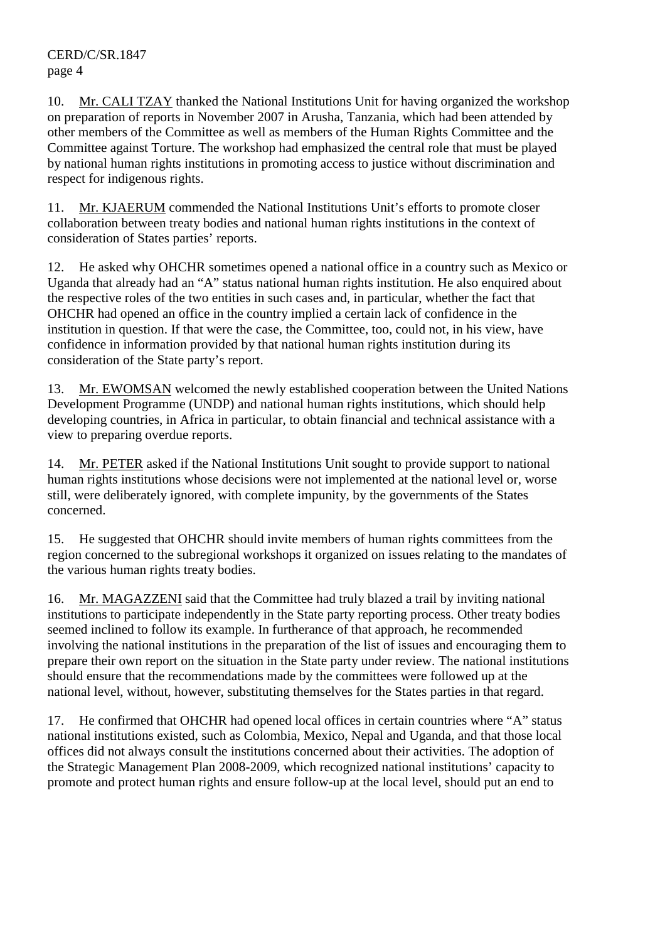10. Mr. CALI TZAY thanked the National Institutions Unit for having organized the workshop on preparation of reports in November 2007 in Arusha, Tanzania, which had been attended by other members of the Committee as well as members of the Human Rights Committee and the Committee against Torture. The workshop had emphasized the central role that must be played by national human rights institutions in promoting access to justice without discrimination and respect for indigenous rights.

11. Mr. KJAERUM commended the National Institutions Unit's efforts to promote closer collaboration between treaty bodies and national human rights institutions in the context of consideration of States parties' reports.

12. He asked why OHCHR sometimes opened a national office in a country such as Mexico or Uganda that already had an "A" status national human rights institution. He also enquired about the respective roles of the two entities in such cases and, in particular, whether the fact that OHCHR had opened an office in the country implied a certain lack of confidence in the institution in question. If that were the case, the Committee, too, could not, in his view, have confidence in information provided by that national human rights institution during its consideration of the State party's report.

13. Mr. EWOMSAN welcomed the newly established cooperation between the United Nations Development Programme (UNDP) and national human rights institutions, which should help developing countries, in Africa in particular, to obtain financial and technical assistance with a view to preparing overdue reports.

14. Mr. PETER asked if the National Institutions Unit sought to provide support to national human rights institutions whose decisions were not implemented at the national level or, worse still, were deliberately ignored, with complete impunity, by the governments of the States concerned.

15. He suggested that OHCHR should invite members of human rights committees from the region concerned to the subregional workshops it organized on issues relating to the mandates of the various human rights treaty bodies.

16. Mr. MAGAZZENI said that the Committee had truly blazed a trail by inviting national institutions to participate independently in the State party reporting process. Other treaty bodies seemed inclined to follow its example. In furtherance of that approach, he recommended involving the national institutions in the preparation of the list of issues and encouraging them to prepare their own report on the situation in the State party under review. The national institutions should ensure that the recommendations made by the committees were followed up at the national level, without, however, substituting themselves for the States parties in that regard.

17. He confirmed that OHCHR had opened local offices in certain countries where "A" status national institutions existed, such as Colombia, Mexico, Nepal and Uganda, and that those local offices did not always consult the institutions concerned about their activities. The adoption of the Strategic Management Plan 2008-2009, which recognized national institutions' capacity to promote and protect human rights and ensure follow-up at the local level, should put an end to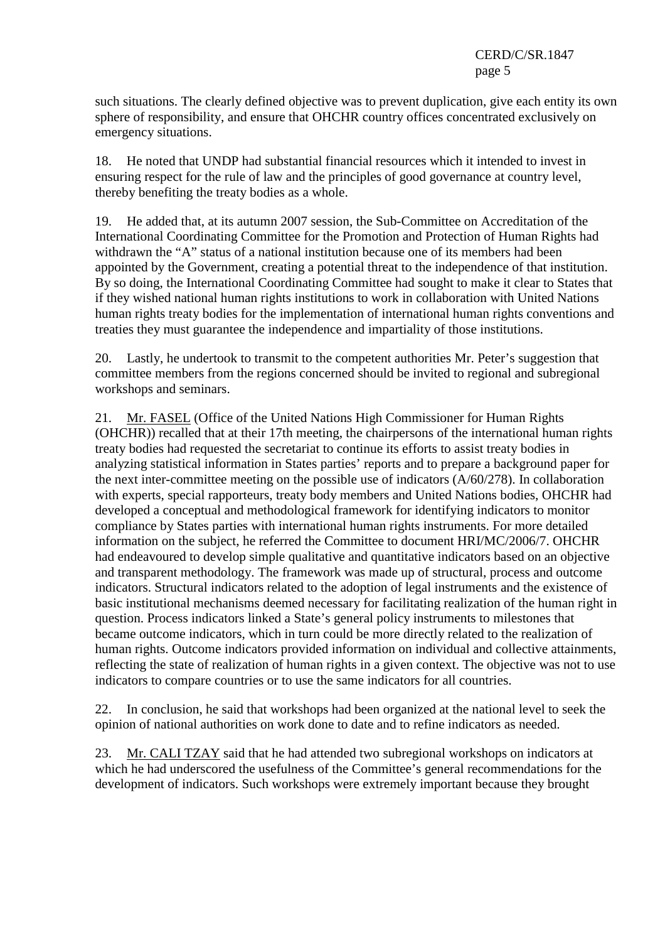### CERD/C/SR.1847 page 5

such situations. The clearly defined objective was to prevent duplication, give each entity its own sphere of responsibility, and ensure that OHCHR country offices concentrated exclusively on emergency situations.

18. He noted that UNDP had substantial financial resources which it intended to invest in ensuring respect for the rule of law and the principles of good governance at country level, thereby benefiting the treaty bodies as a whole.

19. He added that, at its autumn 2007 session, the Sub-Committee on Accreditation of the International Coordinating Committee for the Promotion and Protection of Human Rights had withdrawn the "A" status of a national institution because one of its members had been appointed by the Government, creating a potential threat to the independence of that institution. By so doing, the International Coordinating Committee had sought to make it clear to States that if they wished national human rights institutions to work in collaboration with United Nations human rights treaty bodies for the implementation of international human rights conventions and treaties they must guarantee the independence and impartiality of those institutions.

20. Lastly, he undertook to transmit to the competent authorities Mr. Peter's suggestion that committee members from the regions concerned should be invited to regional and subregional workshops and seminars.

21. Mr. FASEL (Office of the United Nations High Commissioner for Human Rights (OHCHR)) recalled that at their 17th meeting, the chairpersons of the international human rights treaty bodies had requested the secretariat to continue its efforts to assist treaty bodies in analyzing statistical information in States parties' reports and to prepare a background paper for the next inter-committee meeting on the possible use of indicators (A/60/278). In collaboration with experts, special rapporteurs, treaty body members and United Nations bodies, OHCHR had developed a conceptual and methodological framework for identifying indicators to monitor compliance by States parties with international human rights instruments. For more detailed information on the subject, he referred the Committee to document HRI/MC/2006/7. OHCHR had endeavoured to develop simple qualitative and quantitative indicators based on an objective and transparent methodology. The framework was made up of structural, process and outcome indicators. Structural indicators related to the adoption of legal instruments and the existence of basic institutional mechanisms deemed necessary for facilitating realization of the human right in question. Process indicators linked a State's general policy instruments to milestones that became outcome indicators, which in turn could be more directly related to the realization of human rights. Outcome indicators provided information on individual and collective attainments, reflecting the state of realization of human rights in a given context. The objective was not to use indicators to compare countries or to use the same indicators for all countries.

22. In conclusion, he said that workshops had been organized at the national level to seek the opinion of national authorities on work done to date and to refine indicators as needed.

23. Mr. CALI TZAY said that he had attended two subregional workshops on indicators at which he had underscored the usefulness of the Committee's general recommendations for the development of indicators. Such workshops were extremely important because they brought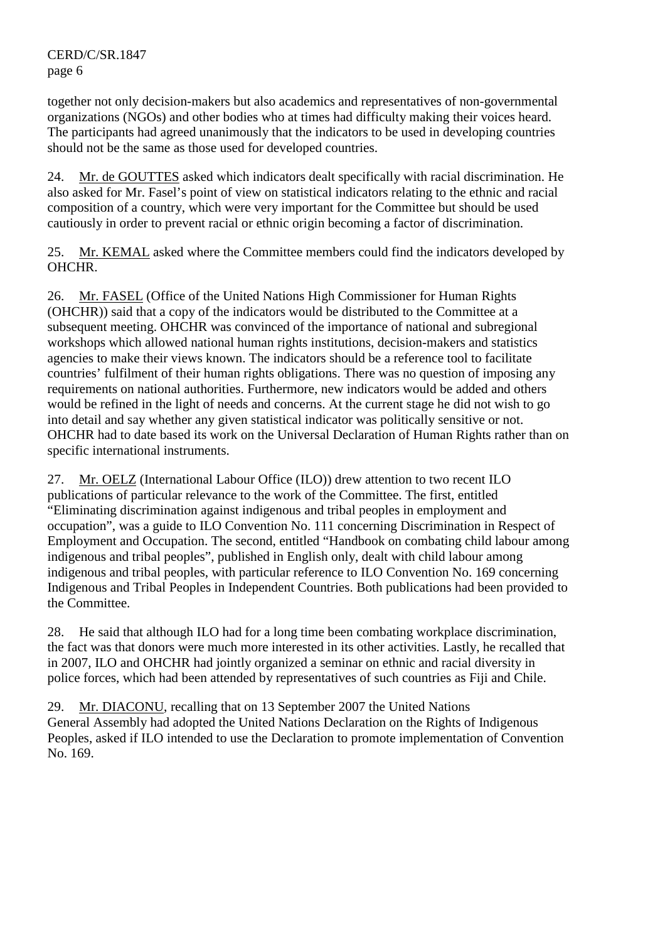together not only decision-makers but also academics and representatives of non-governmental organizations (NGOs) and other bodies who at times had difficulty making their voices heard. The participants had agreed unanimously that the indicators to be used in developing countries should not be the same as those used for developed countries.

24. Mr. de GOUTTES asked which indicators dealt specifically with racial discrimination. He also asked for Mr. Fasel's point of view on statistical indicators relating to the ethnic and racial composition of a country, which were very important for the Committee but should be used cautiously in order to prevent racial or ethnic origin becoming a factor of discrimination.

25. Mr. KEMAL asked where the Committee members could find the indicators developed by OHCHR.

26. Mr. FASEL (Office of the United Nations High Commissioner for Human Rights (OHCHR)) said that a copy of the indicators would be distributed to the Committee at a subsequent meeting. OHCHR was convinced of the importance of national and subregional workshops which allowed national human rights institutions, decision-makers and statistics agencies to make their views known. The indicators should be a reference tool to facilitate countries' fulfilment of their human rights obligations. There was no question of imposing any requirements on national authorities. Furthermore, new indicators would be added and others would be refined in the light of needs and concerns. At the current stage he did not wish to go into detail and say whether any given statistical indicator was politically sensitive or not. OHCHR had to date based its work on the Universal Declaration of Human Rights rather than on specific international instruments.

27. Mr. OELZ (International Labour Office (ILO)) drew attention to two recent ILO publications of particular relevance to the work of the Committee. The first, entitled "Eliminating discrimination against indigenous and tribal peoples in employment and occupation", was a guide to ILO Convention No. 111 concerning Discrimination in Respect of Employment and Occupation. The second, entitled "Handbook on combating child labour among indigenous and tribal peoples", published in English only, dealt with child labour among indigenous and tribal peoples, with particular reference to ILO Convention No. 169 concerning Indigenous and Tribal Peoples in Independent Countries. Both publications had been provided to the Committee.

28. He said that although ILO had for a long time been combating workplace discrimination, the fact was that donors were much more interested in its other activities. Lastly, he recalled that in 2007, ILO and OHCHR had jointly organized a seminar on ethnic and racial diversity in police forces, which had been attended by representatives of such countries as Fiji and Chile.

29. Mr. DIACONU, recalling that on 13 September 2007 the United Nations General Assembly had adopted the United Nations Declaration on the Rights of Indigenous Peoples, asked if ILO intended to use the Declaration to promote implementation of Convention No. 169.